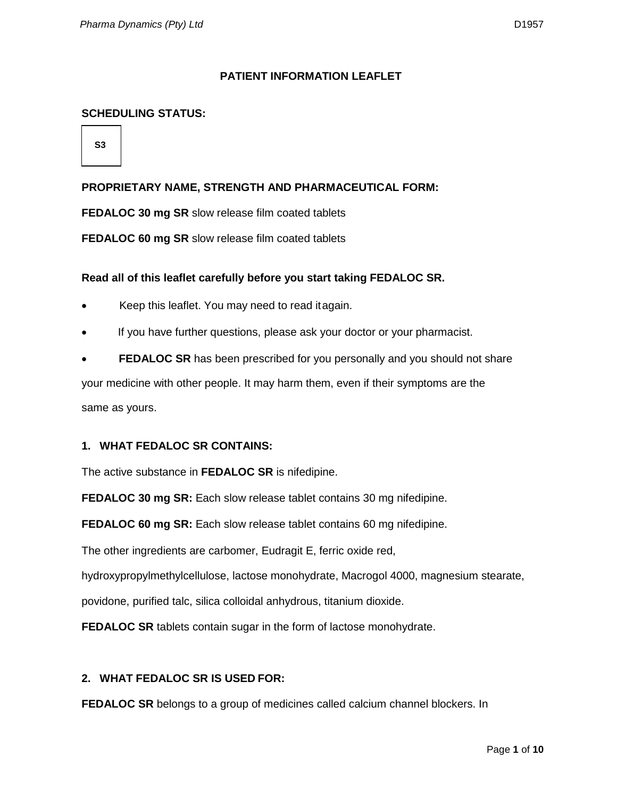#### **PATIENT INFORMATION LEAFLET**

## **SCHEDULING STATUS:**

**S3**

## **PROPRIETARY NAME, STRENGTH AND PHARMACEUTICAL FORM:**

**FEDALOC 30 mg SR** slow release film coated tablets

**FEDALOC 60 mg SR** slow release film coated tablets

#### **Read all of this leaflet carefully before you start taking FEDALOC SR.**

- Keep this leaflet. You may need to read itagain.
- If you have further questions, please ask your doctor or your pharmacist.
- **FEDALOC SR** has been prescribed for you personally and you should not share

your medicine with other people. It may harm them, even if their symptoms are the same as yours.

#### **1. WHAT FEDALOC SR CONTAINS:**

The active substance in **FEDALOC SR** is nifedipine.

**FEDALOC 30 mg SR:** Each slow release tablet contains 30 mg nifedipine.

**FEDALOC 60 mg SR:** Each slow release tablet contains 60 mg nifedipine.

The other ingredients are carbomer, Eudragit E, ferric oxide red,

hydroxypropylmethylcellulose, lactose monohydrate, Macrogol 4000, magnesium stearate,

povidone, purified talc, silica colloidal anhydrous, titanium dioxide.

**FEDALOC SR** tablets contain sugar in the form of lactose monohydrate.

## **2. WHAT FEDALOC SR IS USED FOR:**

**FEDALOC SR** belongs to a group of medicines called calcium channel blockers. In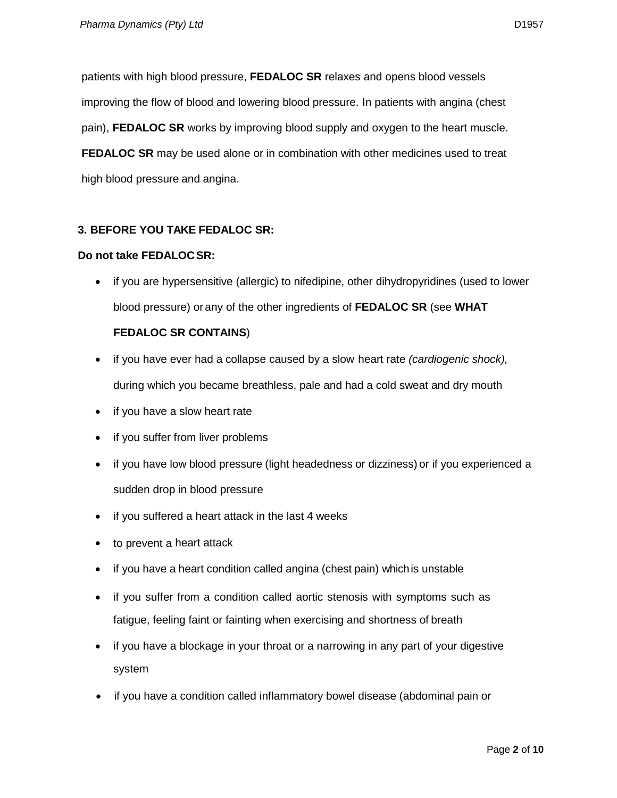patients with high blood pressure, **FEDALOC SR** relaxes and opens blood vessels improving the flow of blood and lowering blood pressure. In patients with angina (chest pain), **FEDALOC SR** works by improving blood supply and oxygen to the heart muscle. **FEDALOC SR** may be used alone or in combination with other medicines used to treat high blood pressure and angina.

# **3. BEFORE YOU TAKE FEDALOC SR:**

#### **Do not take FEDALOCSR:**

• if you are hypersensitive (allergic) to nifedipine, other dihydropyridines (used to lower blood pressure) or any of the other ingredients of **FEDALOC SR** (see **WHAT** 

## **FEDALOC SR CONTAINS**)

- if you have ever had a collapse caused by a slow heart rate *(cardiogenic shock),*  during which you became breathless, pale and had a cold sweat and dry mouth
- if you have a slow heart rate
- if you suffer from liver problems
- if you have low blood pressure (light headedness or dizziness) or if you experienced a sudden drop in blood pressure
- if you suffered a heart attack in the last 4 weeks
- to prevent a heart attack
- if you have a heart condition called angina (chest pain) which is unstable
- if you suffer from a condition called aortic stenosis with symptoms such as fatigue, feeling faint or fainting when exercising and shortness of breath
- if you have a blockage in your throat or a narrowing in any part of your digestive system
- if you have a condition called inflammatory bowel disease (abdominal pain or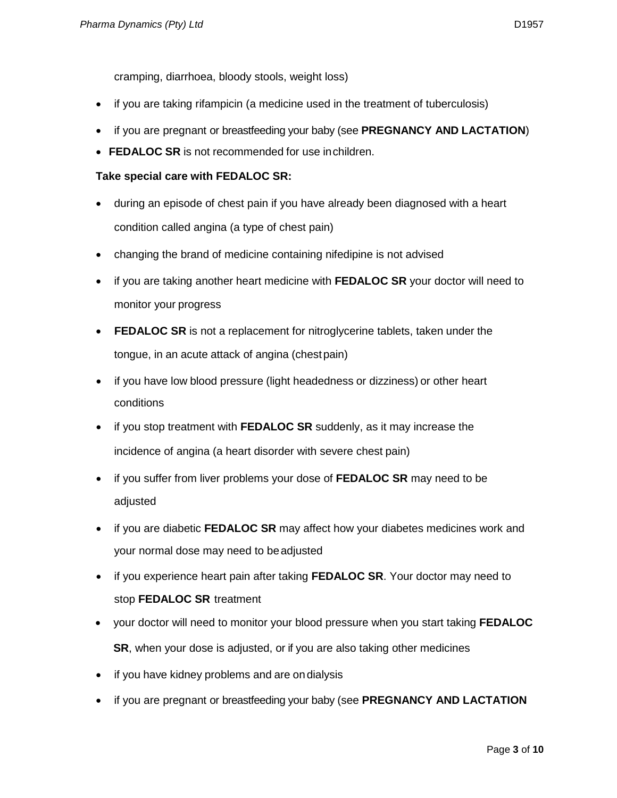cramping, diarrhoea, bloody stools, weight loss)

- if you are taking rifampicin (a medicine used in the treatment of tuberculosis)
- if you are pregnant or breastfeeding your baby (see **PREGNANCY AND LACTATION**)
- **FEDALOC SR** is not recommended for use inchildren.

# **Take special care with FEDALOC SR:**

- during an episode of chest pain if you have already been diagnosed with a heart condition called angina (a type of chest pain)
- changing the brand of medicine containing nifedipine is not advised
- if you are taking another heart medicine with **FEDALOC SR** your doctor will need to monitor your progress
- **FEDALOC SR** is not a replacement for nitroglycerine tablets, taken under the tongue, in an acute attack of angina (chestpain)
- if you have low blood pressure (light headedness or dizziness) or other heart conditions
- if you stop treatment with **FEDALOC SR** suddenly, as it may increase the incidence of angina (a heart disorder with severe chest pain)
- if you suffer from liver problems your dose of **FEDALOC SR** may need to be adjusted
- if you are diabetic **FEDALOC SR** may affect how your diabetes medicines work and your normal dose may need to beadjusted
- if you experience heart pain after taking **FEDALOC SR**. Your doctor may need to stop **FEDALOC SR** treatment
- your doctor will need to monitor your blood pressure when you start taking **FEDALOC SR**, when your dose is adjusted, or if you are also taking other medicines
- if you have kidney problems and are on dialysis
- if you are pregnant or breastfeeding your baby (see **PREGNANCY AND LACTATION**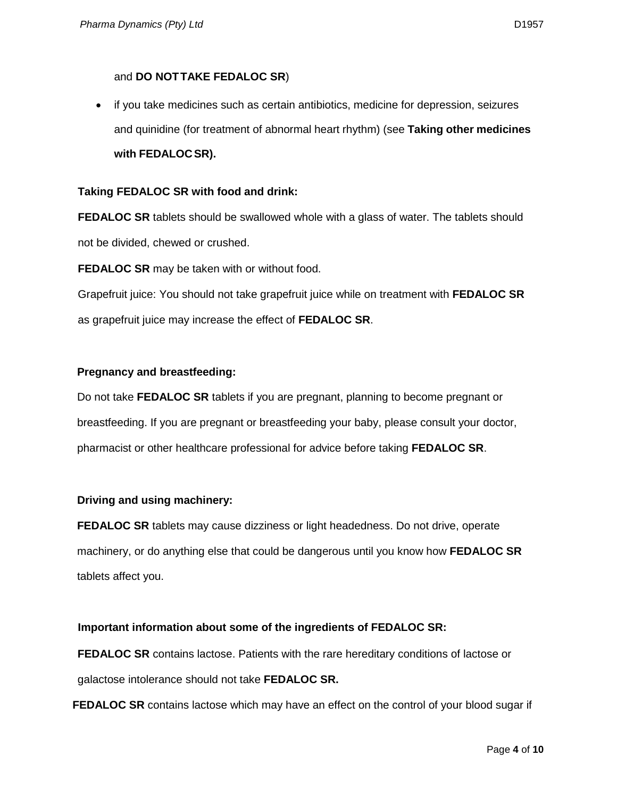# and **DO NOTTAKE FEDALOC SR**)

• if you take medicines such as certain antibiotics, medicine for depression, seizures and quinidine (for treatment of abnormal heart rhythm) (see **Taking other medicines with FEDALOCSR).**

## **Taking FEDALOC SR with food and drink:**

**FEDALOC SR** tablets should be swallowed whole with a glass of water. The tablets should not be divided, chewed or crushed.

**FEDALOC SR** may be taken with or without food.

Grapefruit juice: You should not take grapefruit juice while on treatment with **FEDALOC SR**  as grapefruit juice may increase the effect of **FEDALOC SR**.

## **Pregnancy and breastfeeding:**

Do not take **FEDALOC SR** tablets if you are pregnant, planning to become pregnant or breastfeeding. If you are pregnant or breastfeeding your baby, please consult your doctor, pharmacist or other healthcare professional for advice before taking **FEDALOC SR**.

## **Driving and using machinery:**

**FEDALOC SR** tablets may cause dizziness or light headedness. Do not drive, operate machinery, or do anything else that could be dangerous until you know how **FEDALOC SR**  tablets affect you.

# **Important information about some of the ingredients of FEDALOC SR:**

**FEDALOC SR** contains lactose. Patients with the rare hereditary conditions of lactose or galactose intolerance should not take **FEDALOC SR.**

**FEDALOC SR** contains lactose which may have an effect on the control of your blood sugar if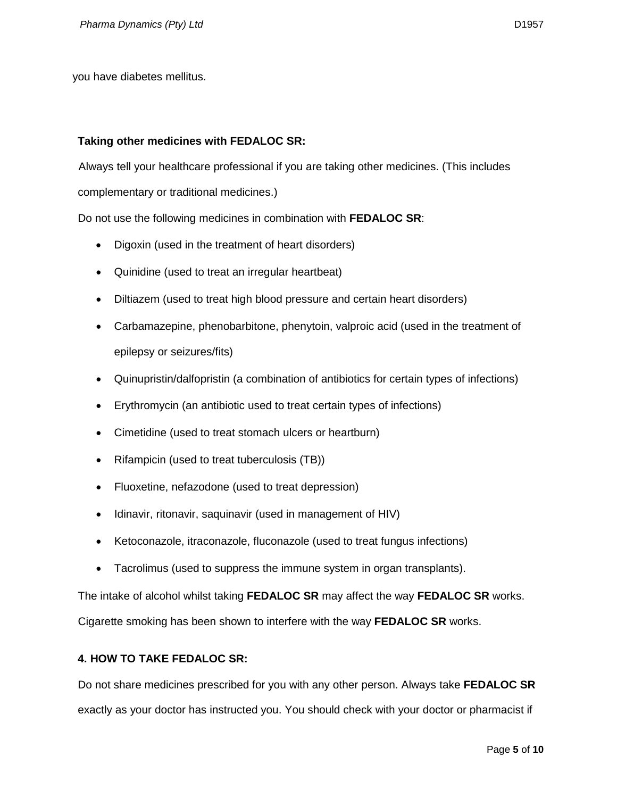you have diabetes mellitus.

## **Taking other medicines with FEDALOC SR:**

Always tell your healthcare professional if you are taking other medicines. (This includes complementary or traditional medicines.)

- Do not use the following medicines in combination with **FEDALOC SR**:
	- Digoxin (used in the treatment of heart disorders)
	- Quinidine (used to treat an irregular heartbeat)
	- Diltiazem (used to treat high blood pressure and certain heart disorders)
	- Carbamazepine, phenobarbitone, phenytoin, valproic acid (used in the treatment of epilepsy or seizures/fits)
	- Quinupristin/dalfopristin (a combination of antibiotics for certain types of infections)
	- Erythromycin (an antibiotic used to treat certain types of infections)
	- Cimetidine (used to treat stomach ulcers or heartburn)
	- Rifampicin (used to treat tuberculosis (TB))
	- Fluoxetine, nefazodone (used to treat depression)
	- Idinavir, ritonavir, saquinavir (used in management of HIV)
	- Ketoconazole, itraconazole, fluconazole (used to treat fungus infections)
	- Tacrolimus (used to suppress the immune system in organ transplants).

The intake of alcohol whilst taking **FEDALOC SR** may affect the way **FEDALOC SR** works.

Cigarette smoking has been shown to interfere with the way **FEDALOC SR** works.

# **4. HOW TO TAKE FEDALOC SR:**

Do not share medicines prescribed for you with any other person. Always take **FEDALOC SR**  exactly as your doctor has instructed you. You should check with your doctor or pharmacist if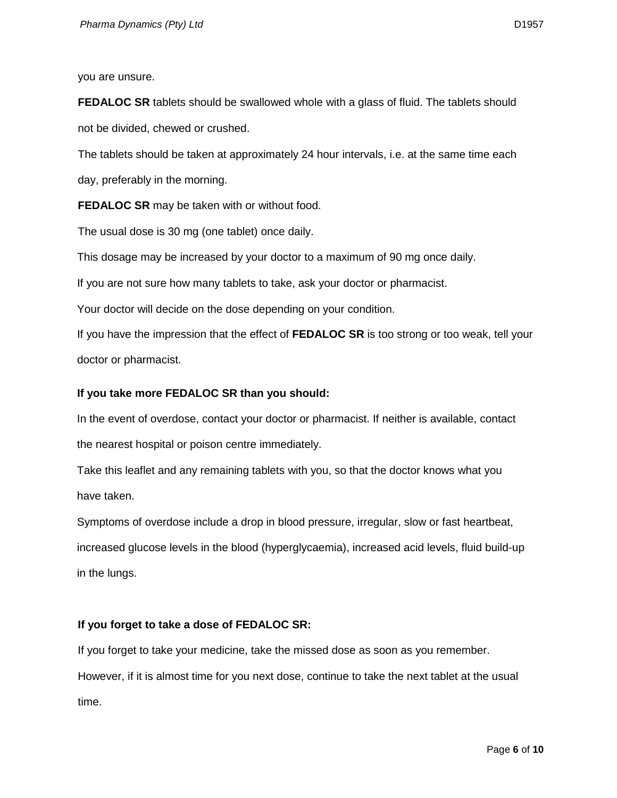you are unsure.

**FEDALOC SR** tablets should be swallowed whole with a glass of fluid. The tablets should not be divided, chewed or crushed.

The tablets should be taken at approximately 24 hour intervals, i.e. at the same time each day, preferably in the morning.

**FEDALOC SR** may be taken with or without food.

The usual dose is 30 mg (one tablet) once daily.

This dosage may be increased by your doctor to a maximum of 90 mg once daily.

If you are not sure how many tablets to take, ask your doctor or pharmacist.

Your doctor will decide on the dose depending on your condition.

If you have the impression that the effect of **FEDALOC SR** is too strong or too weak, tell your doctor or pharmacist.

#### **If you take more FEDALOC SR than you should:**

In the event of overdose, contact your doctor or pharmacist. If neither is available, contact the nearest hospital or poison centre immediately.

Take this leaflet and any remaining tablets with you, so that the doctor knows what you have taken.

Symptoms of overdose include a drop in blood pressure, irregular, slow or fast heartbeat, increased glucose levels in the blood (hyperglycaemia), increased acid levels, fluid build-up in the lungs.

## **If you forget to take a dose of FEDALOC SR:**

If you forget to take your medicine, take the missed dose as soon as you remember. However, if it is almost time for you next dose, continue to take the next tablet at the usual time.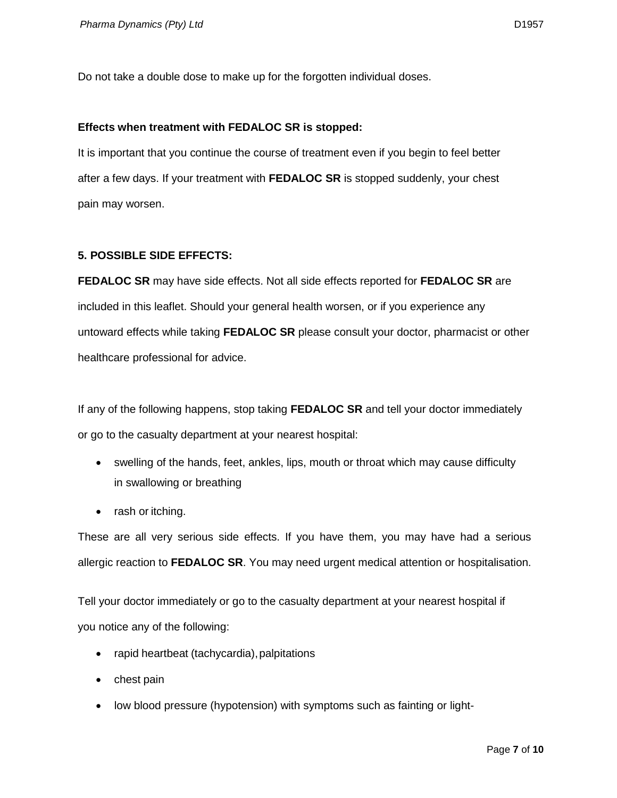Do not take a double dose to make up for the forgotten individual doses.

#### **Effects when treatment with FEDALOC SR is stopped:**

It is important that you continue the course of treatment even if you begin to feel better after a few days. If your treatment with **FEDALOC SR** is stopped suddenly, your chest pain may worsen.

#### **5. POSSIBLE SIDE EFFECTS:**

**FEDALOC SR** may have side effects. Not all side effects reported for **FEDALOC SR** are included in this leaflet. Should your general health worsen, or if you experience any untoward effects while taking **FEDALOC SR** please consult your doctor, pharmacist or other healthcare professional for advice.

If any of the following happens, stop taking **FEDALOC SR** and tell your doctor immediately or go to the casualty department at your nearest hospital:

- swelling of the hands, feet, ankles, lips, mouth or throat which may cause difficulty in swallowing or breathing
- rash or itching.

These are all very serious side effects. If you have them, you may have had a serious allergic reaction to **FEDALOC SR**. You may need urgent medical attention or hospitalisation.

Tell your doctor immediately or go to the casualty department at your nearest hospital if you notice any of the following:

- rapid heartbeat (tachycardia), palpitations
- chest pain
- low blood pressure (hypotension) with symptoms such as fainting or light-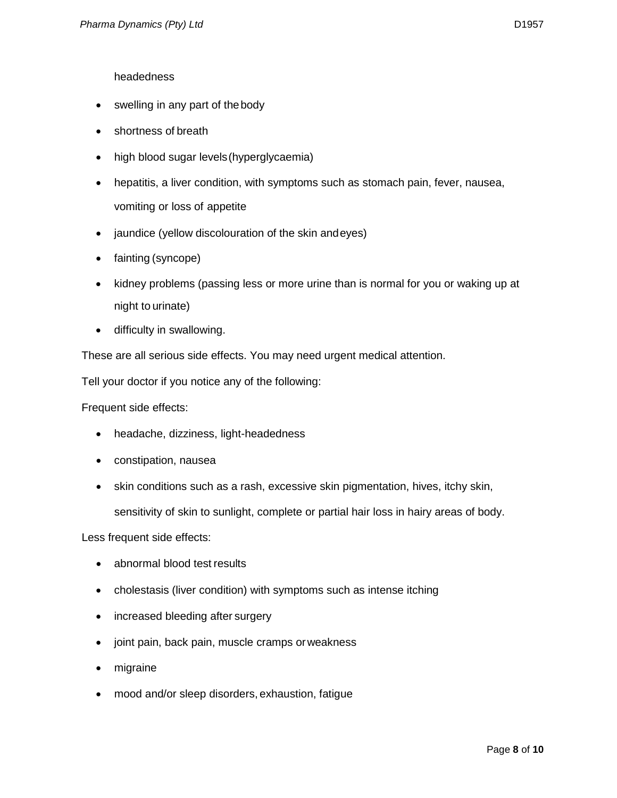# headedness

- swelling in any part of the body
- shortness of breath
- high blood sugar levels(hyperglycaemia)
- hepatitis, a liver condition, with symptoms such as stomach pain, fever, nausea, vomiting or loss of appetite
- jaundice (yellow discolouration of the skin andeyes)
- fainting (syncope)
- kidney problems (passing less or more urine than is normal for you or waking up at night to urinate)
- difficulty in swallowing.

These are all serious side effects. You may need urgent medical attention.

Tell your doctor if you notice any of the following:

Frequent side effects:

- headache, dizziness, light-headedness
- constipation, nausea
- skin conditions such as a rash, excessive skin pigmentation, hives, itchy skin,

sensitivity of skin to sunlight, complete or partial hair loss in hairy areas of body.

Less frequent side effects:

- abnormal blood test results
- cholestasis (liver condition) with symptoms such as intense itching
- increased bleeding after surgery
- joint pain, back pain, muscle cramps orweakness
- migraine
- mood and/or sleep disorders, exhaustion, fatigue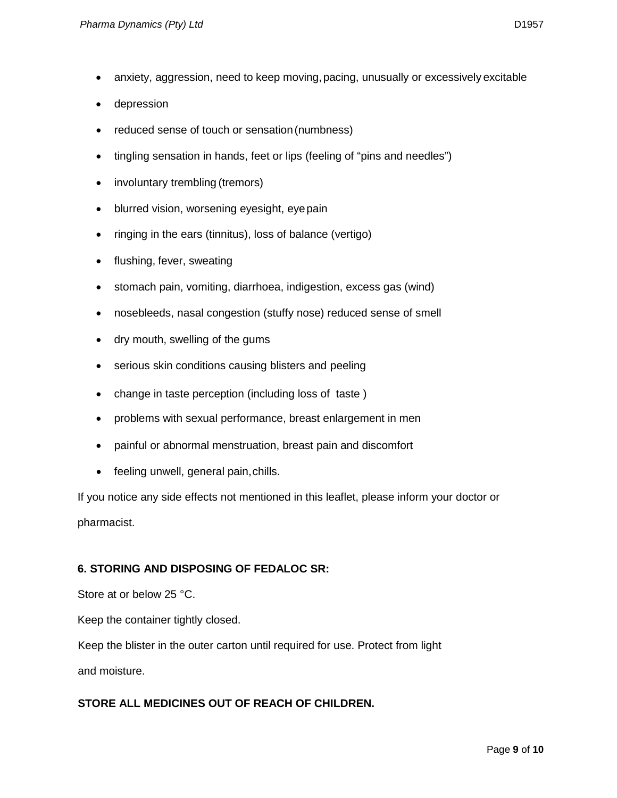- anxiety, aggression, need to keep moving, pacing, unusually or excessively excitable
- depression
- reduced sense of touch or sensation (numbness)
- tingling sensation in hands, feet or lips (feeling of "pins and needles")
- involuntary trembling (tremors)
- blurred vision, worsening eyesight, eyepain
- ringing in the ears (tinnitus), loss of balance (vertigo)
- flushing, fever, sweating
- stomach pain, vomiting, diarrhoea, indigestion, excess gas (wind)
- nosebleeds, nasal congestion (stuffy nose) reduced sense of smell
- dry mouth, swelling of the gums
- serious skin conditions causing blisters and peeling
- change in taste perception (including loss of taste )
- problems with sexual performance, breast enlargement in men
- painful or abnormal menstruation, breast pain and discomfort
- feeling unwell, general pain, chills.

If you notice any side effects not mentioned in this leaflet, please inform your doctor or pharmacist.

# **6. STORING AND DISPOSING OF FEDALOC SR:**

Store at or below 25 °C.

Keep the container tightly closed.

Keep the blister in the outer carton until required for use. Protect from light

and moisture.

# **STORE ALL MEDICINES OUT OF REACH OF CHILDREN.**